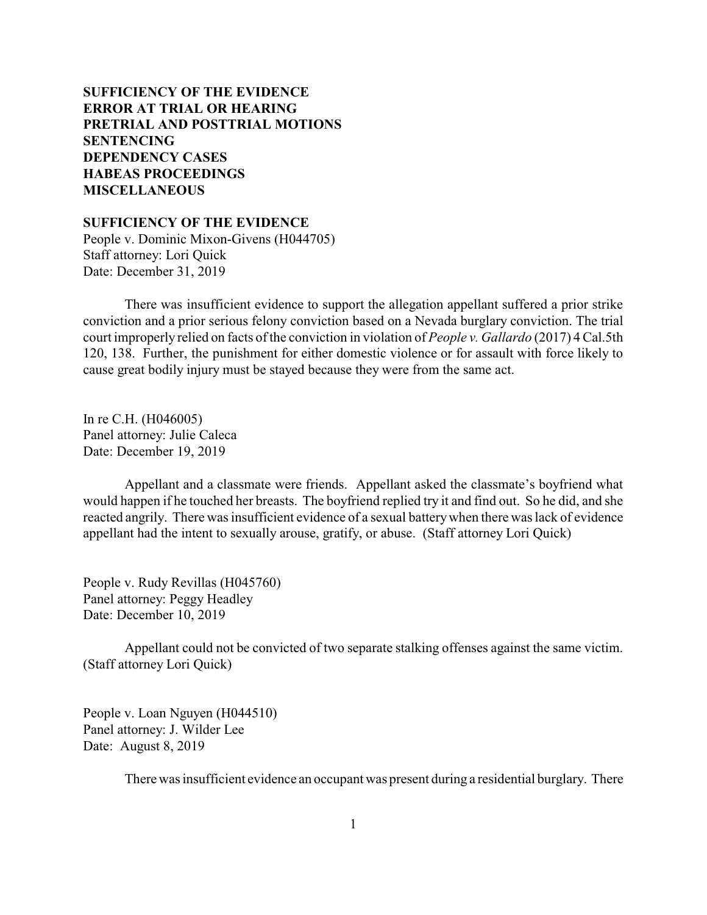# **SUFFICIENCY OF THE EVIDENCE [ERROR AT TRIAL OR HEARING](#page-2-0) [PRETRIAL AND POSTTRIAL MOTIONS](#page-4-0) [SENTENCING](#page-8-0) [DEPENDENCY CASES](#page-21-0) [HABEAS PROCEEDINGS](#page-23-0)  [MISCELLANEOUS](#page-24-0)**

**SUFFICIENCY OF THE EVIDENCE**

People v. Dominic Mixon-Givens (H044705) Staff attorney: Lori Quick Date: December 31, 2019

There was insufficient evidence to support the allegation appellant suffered a prior strike conviction and a prior serious felony conviction based on a Nevada burglary conviction. The trial court improperly relied on facts of the conviction in violation of *People v. Gallardo* (2017) 4 Cal.5th 120, 138. Further, the punishment for either domestic violence or for assault with force likely to cause great bodily injury must be stayed because they were from the same act.

In re C.H. (H046005) Panel attorney: Julie Caleca Date: December 19, 2019

Appellant and a classmate were friends. Appellant asked the classmate's boyfriend what would happen if he touched her breasts. The boyfriend replied try it and find out. So he did, and she reacted angrily. There was insufficient evidence of a sexual batterywhen there was lack of evidence appellant had the intent to sexually arouse, gratify, or abuse. (Staff attorney Lori Quick)

People v. Rudy Revillas (H045760) Panel attorney: Peggy Headley Date: December 10, 2019

Appellant could not be convicted of two separate stalking offenses against the same victim. (Staff attorney Lori Quick)

People v. Loan Nguyen (H044510) Panel attorney: J. Wilder Lee Date: August 8, 2019

There was insufficient evidence an occupant was present during a residential burglary. There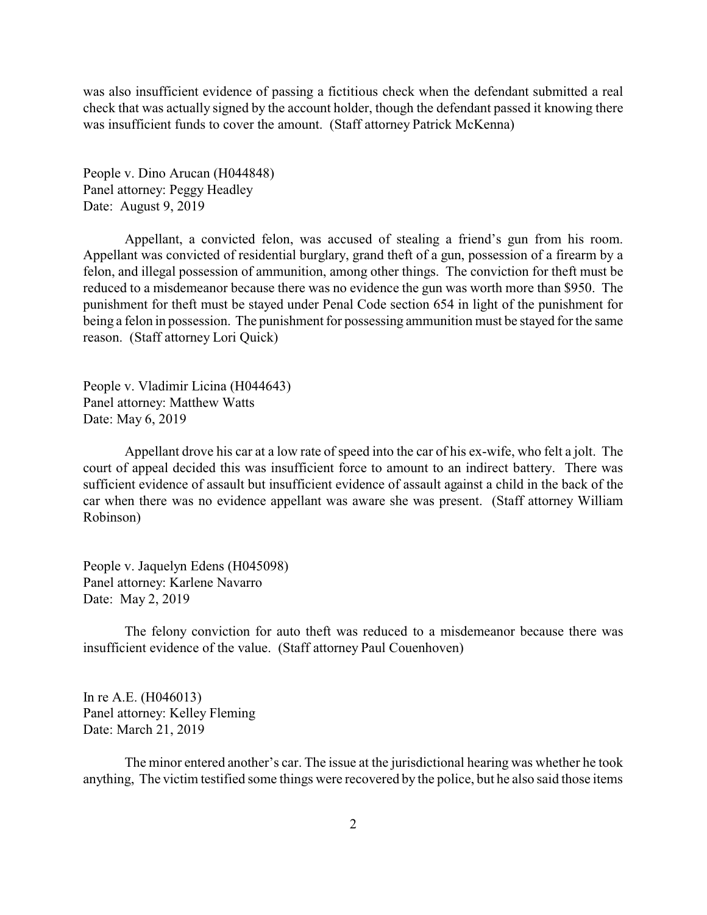was also insufficient evidence of passing a fictitious check when the defendant submitted a real check that was actually signed by the account holder, though the defendant passed it knowing there was insufficient funds to cover the amount. (Staff attorney Patrick McKenna)

People v. Dino Arucan (H044848) Panel attorney: Peggy Headley Date: August 9, 2019

Appellant, a convicted felon, was accused of stealing a friend's gun from his room. Appellant was convicted of residential burglary, grand theft of a gun, possession of a firearm by a felon, and illegal possession of ammunition, among other things. The conviction for theft must be reduced to a misdemeanor because there was no evidence the gun was worth more than \$950. The punishment for theft must be stayed under Penal Code section 654 in light of the punishment for being a felon in possession. The punishment for possessing ammunition must be stayed for the same reason. (Staff attorney Lori Quick)

People v. Vladimir Licina (H044643) Panel attorney: Matthew Watts Date: May 6, 2019

Appellant drove his car at a low rate of speed into the car of his ex-wife, who felt a jolt. The court of appeal decided this was insufficient force to amount to an indirect battery. There was sufficient evidence of assault but insufficient evidence of assault against a child in the back of the car when there was no evidence appellant was aware she was present. (Staff attorney William Robinson)

People v. Jaquelyn Edens (H045098) Panel attorney: Karlene Navarro Date: May 2, 2019

The felony conviction for auto theft was reduced to a misdemeanor because there was insufficient evidence of the value. (Staff attorney Paul Couenhoven)

In re A.E. (H046013) Panel attorney: Kelley Fleming Date: March 21, 2019

The minor entered another's car. The issue at the jurisdictional hearing was whether he took anything, The victim testified some things were recovered by the police, but he also said those items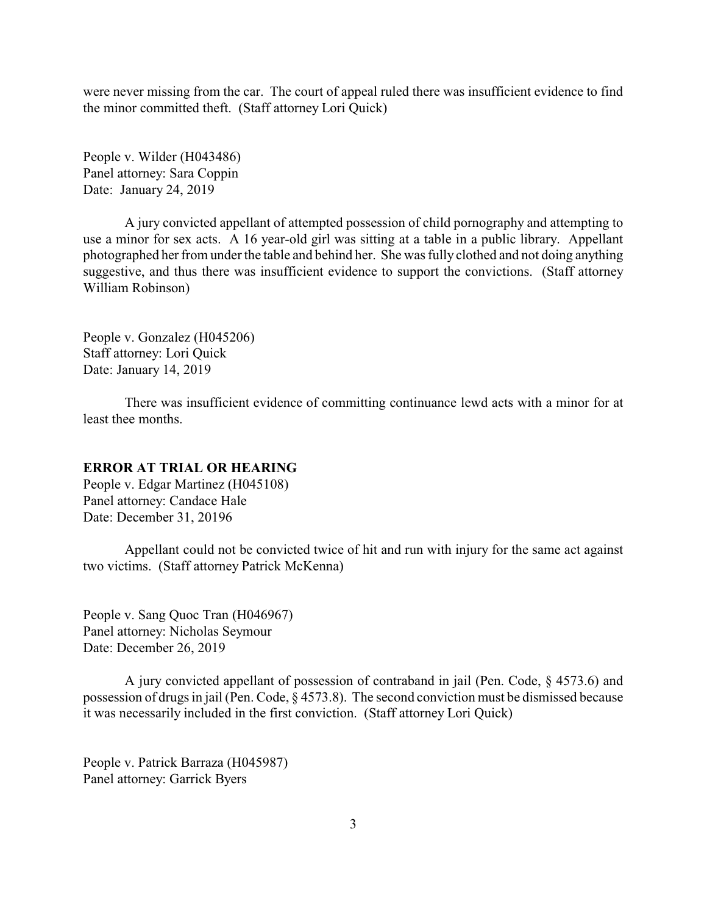<span id="page-2-0"></span>were never missing from the car. The court of appeal ruled there was insufficient evidence to find the minor committed theft. (Staff attorney Lori Quick)

People v. Wilder (H043486) Panel attorney: Sara Coppin Date: January 24, 2019

A jury convicted appellant of attempted possession of child pornography and attempting to use a minor for sex acts. A 16 year-old girl was sitting at a table in a public library. Appellant photographed her from under the table and behind her. She was fully clothed and not doing anything suggestive, and thus there was insufficient evidence to support the convictions. (Staff attorney William Robinson)

People v. Gonzalez (H045206) Staff attorney: Lori Quick Date: January 14, 2019

There was insufficient evidence of committing continuance lewd acts with a minor for at least thee months.

### **ERROR AT TRIAL OR HEARING**

People v. Edgar Martinez (H045108) Panel attorney: Candace Hale Date: December 31, 20196

Appellant could not be convicted twice of hit and run with injury for the same act against two victims. (Staff attorney Patrick McKenna)

People v. Sang Quoc Tran (H046967) Panel attorney: Nicholas Seymour Date: December 26, 2019

A jury convicted appellant of possession of contraband in jail (Pen. Code, § 4573.6) and possession of drugs in jail (Pen. Code, § 4573.8). The second conviction must be dismissed because it was necessarily included in the first conviction. (Staff attorney Lori Quick)

People v. Patrick Barraza (H045987) Panel attorney: Garrick Byers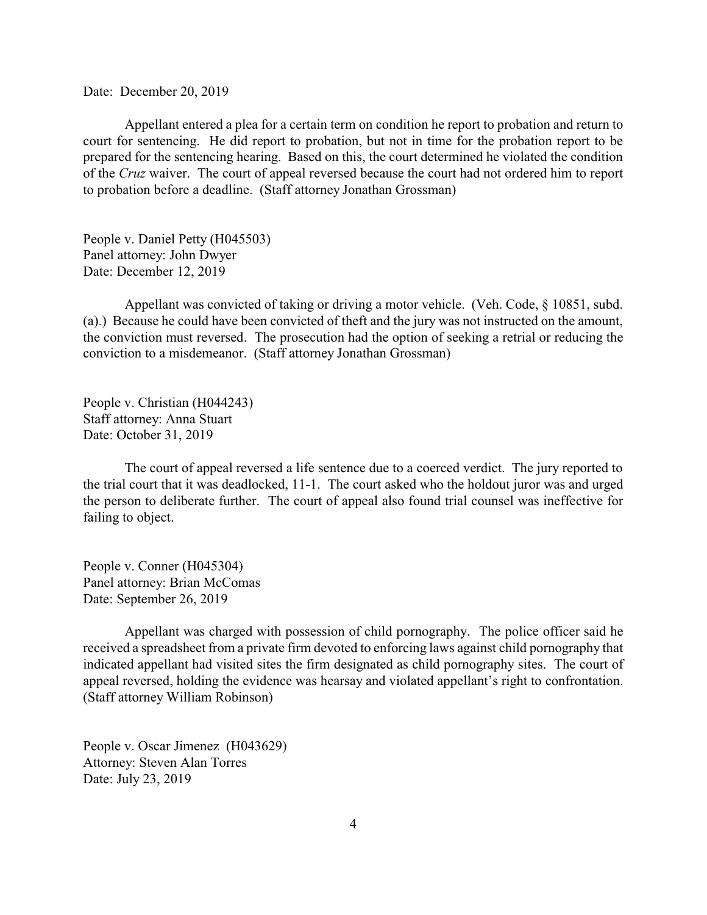Date: December 20, 2019

Appellant entered a plea for a certain term on condition he report to probation and return to court for sentencing. He did report to probation, but not in time for the probation report to be prepared for the sentencing hearing. Based on this, the court determined he violated the condition of the *Cruz* waiver. The court of appeal reversed because the court had not ordered him to report to probation before a deadline. (Staff attorney Jonathan Grossman)

People v. Daniel Petty (H045503) Panel attorney: John Dwyer Date: December 12, 2019

Appellant was convicted of taking or driving a motor vehicle. (Veh. Code, § 10851, subd. (a).) Because he could have been convicted of theft and the jury was not instructed on the amount, the conviction must reversed. The prosecution had the option of seeking a retrial or reducing the conviction to a misdemeanor. (Staff attorney Jonathan Grossman)

People v. Christian (H044243) Staff attorney: Anna Stuart Date: October 31, 2019

The court of appeal reversed a life sentence due to a coerced verdict. The jury reported to the trial court that it was deadlocked, 11-1. The court asked who the holdout juror was and urged the person to deliberate further. The court of appeal also found trial counsel was ineffective for failing to object.

People v. Conner (H045304) Panel attorney: Brian McComas Date: September 26, 2019

Appellant was charged with possession of child pornography. The police officer said he received a spreadsheet from a private firm devoted to enforcing laws against child pornography that indicated appellant had visited sites the firm designated as child pornography sites. The court of appeal reversed, holding the evidence was hearsay and violated appellant's right to confrontation. (Staff attorney William Robinson)

People v. Oscar Jimenez (H043629) Attorney: Steven Alan Torres Date: July 23, 2019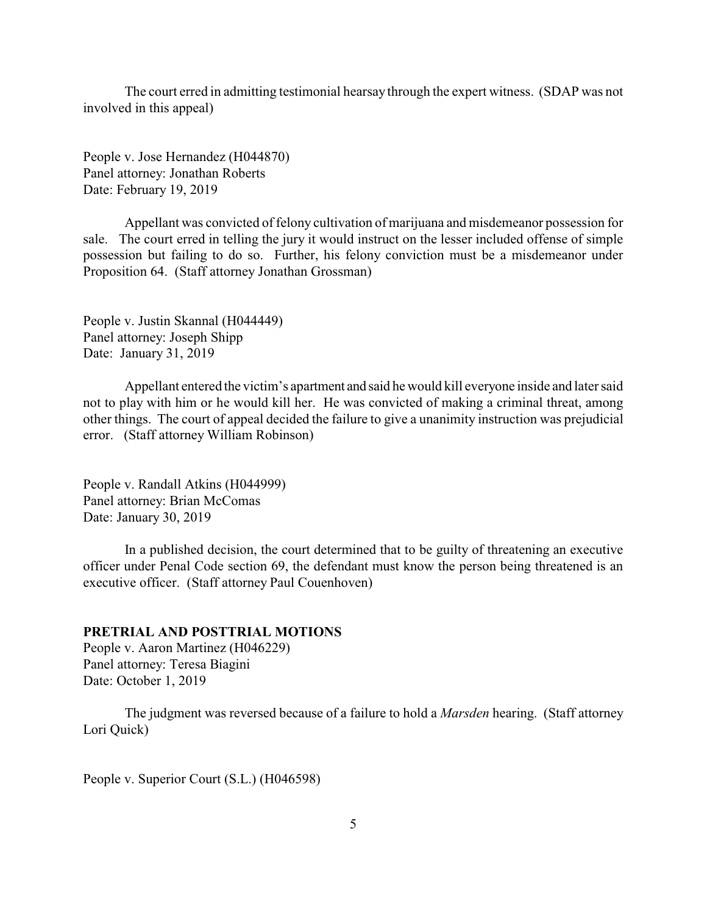<span id="page-4-0"></span>The court erred in admitting testimonial hearsay through the expert witness. (SDAP was not involved in this appeal)

People v. Jose Hernandez (H044870) Panel attorney: Jonathan Roberts Date: February 19, 2019

Appellant was convicted of felony cultivation of marijuana and misdemeanor possession for sale. The court erred in telling the jury it would instruct on the lesser included offense of simple possession but failing to do so. Further, his felony conviction must be a misdemeanor under Proposition 64. (Staff attorney Jonathan Grossman)

People v. Justin Skannal (H044449) Panel attorney: Joseph Shipp Date: January 31, 2019

Appellant entered the victim's apartment and said he would kill everyone inside and later said not to play with him or he would kill her. He was convicted of making a criminal threat, among other things. The court of appeal decided the failure to give a unanimity instruction was prejudicial error. (Staff attorney William Robinson)

People v. Randall Atkins (H044999) Panel attorney: Brian McComas Date: January 30, 2019

In a published decision, the court determined that to be guilty of threatening an executive officer under Penal Code section 69, the defendant must know the person being threatened is an executive officer. (Staff attorney Paul Couenhoven)

## **PRETRIAL AND POSTTRIAL MOTIONS**

People v. Aaron Martinez (H046229) Panel attorney: Teresa Biagini Date: October 1, 2019

The judgment was reversed because of a failure to hold a *Marsden* hearing. (Staff attorney Lori Quick)

People v. Superior Court (S.L.) (H046598)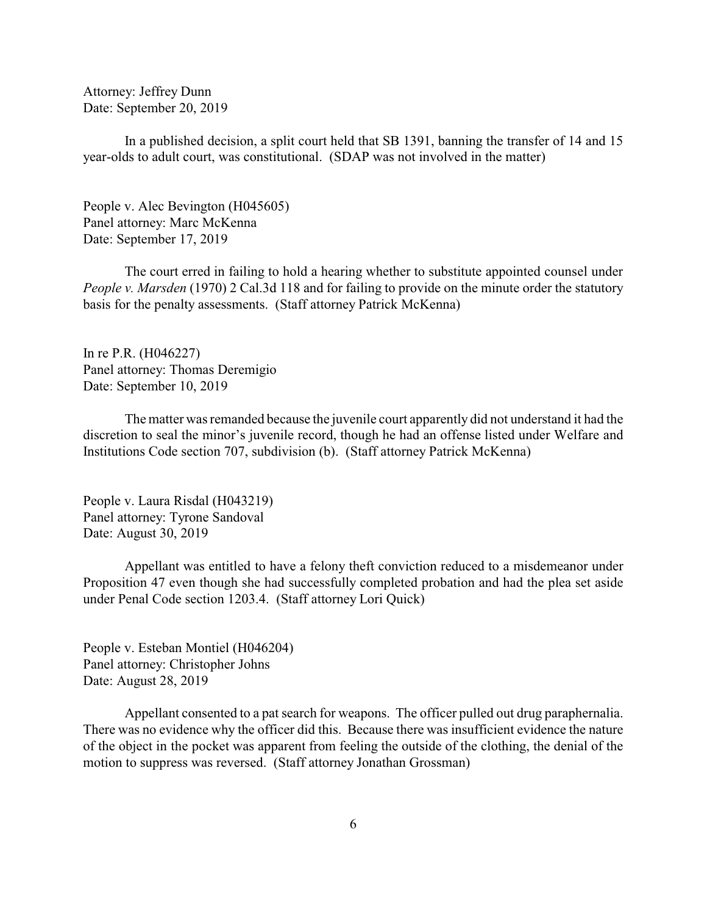Attorney: Jeffrey Dunn Date: September 20, 2019

In a published decision, a split court held that SB 1391, banning the transfer of 14 and 15 year-olds to adult court, was constitutional. (SDAP was not involved in the matter)

People v. Alec Bevington (H045605) Panel attorney: Marc McKenna Date: September 17, 2019

The court erred in failing to hold a hearing whether to substitute appointed counsel under *People v. Marsden* (1970) 2 Cal.3d 118 and for failing to provide on the minute order the statutory basis for the penalty assessments. (Staff attorney Patrick McKenna)

In re P.R. (H046227) Panel attorney: Thomas Deremigio Date: September 10, 2019

The matter was remanded because the juvenile court apparently did not understand it had the discretion to seal the minor's juvenile record, though he had an offense listed under Welfare and Institutions Code section 707, subdivision (b). (Staff attorney Patrick McKenna)

People v. Laura Risdal (H043219) Panel attorney: Tyrone Sandoval Date: August 30, 2019

Appellant was entitled to have a felony theft conviction reduced to a misdemeanor under Proposition 47 even though she had successfully completed probation and had the plea set aside under Penal Code section 1203.4. (Staff attorney Lori Quick)

People v. Esteban Montiel (H046204) Panel attorney: Christopher Johns Date: August 28, 2019

Appellant consented to a pat search for weapons. The officer pulled out drug paraphernalia. There was no evidence why the officer did this. Because there was insufficient evidence the nature of the object in the pocket was apparent from feeling the outside of the clothing, the denial of the motion to suppress was reversed. (Staff attorney Jonathan Grossman)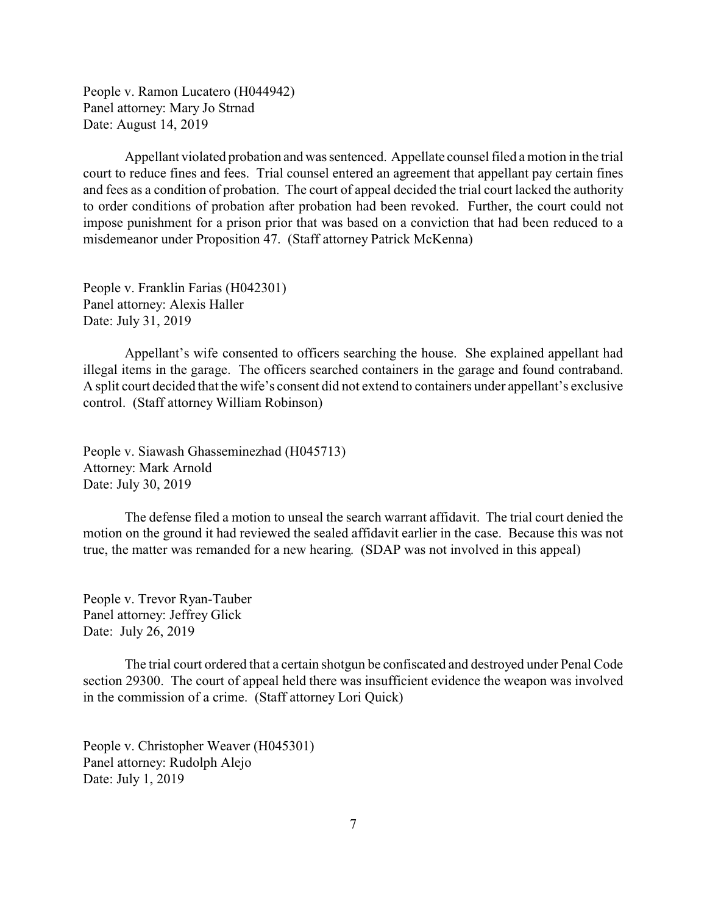People v. Ramon Lucatero (H044942) Panel attorney: Mary Jo Strnad Date: August 14, 2019

Appellant violated probation and was sentenced. Appellate counsel filed a motion in the trial court to reduce fines and fees. Trial counsel entered an agreement that appellant pay certain fines and fees as a condition of probation. The court of appeal decided the trial court lacked the authority to order conditions of probation after probation had been revoked. Further, the court could not impose punishment for a prison prior that was based on a conviction that had been reduced to a misdemeanor under Proposition 47. (Staff attorney Patrick McKenna)

People v. Franklin Farias (H042301) Panel attorney: Alexis Haller Date: July 31, 2019

Appellant's wife consented to officers searching the house. She explained appellant had illegal items in the garage. The officers searched containers in the garage and found contraband. A split court decided that the wife's consent did not extend to containers under appellant's exclusive control. (Staff attorney William Robinson)

People v. Siawash Ghasseminezhad (H045713) Attorney: Mark Arnold Date: July 30, 2019

The defense filed a motion to unseal the search warrant affidavit. The trial court denied the motion on the ground it had reviewed the sealed affidavit earlier in the case. Because this was not true, the matter was remanded for a new hearing. (SDAP was not involved in this appeal)

People v. Trevor Ryan-Tauber Panel attorney: Jeffrey Glick Date: July 26, 2019

The trial court ordered that a certain shotgun be confiscated and destroyed under Penal Code section 29300. The court of appeal held there was insufficient evidence the weapon was involved in the commission of a crime. (Staff attorney Lori Quick)

People v. Christopher Weaver (H045301) Panel attorney: Rudolph Alejo Date: July 1, 2019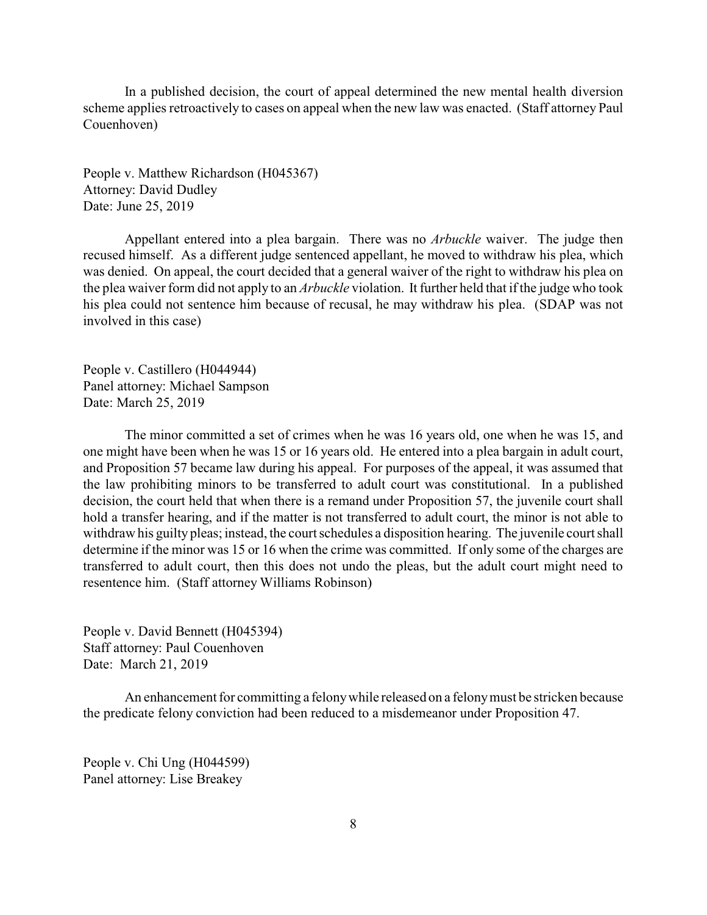In a published decision, the court of appeal determined the new mental health diversion scheme applies retroactively to cases on appeal when the new law was enacted. (Staff attorney Paul Couenhoven)

People v. Matthew Richardson (H045367) Attorney: David Dudley Date: June 25, 2019

Appellant entered into a plea bargain. There was no *Arbuckle* waiver. The judge then recused himself. As a different judge sentenced appellant, he moved to withdraw his plea, which was denied. On appeal, the court decided that a general waiver of the right to withdraw his plea on the plea waiver form did not apply to an *Arbuckle* violation. It further held that if the judge who took his plea could not sentence him because of recusal, he may withdraw his plea. (SDAP was not involved in this case)

People v. Castillero (H044944) Panel attorney: Michael Sampson Date: March 25, 2019

The minor committed a set of crimes when he was 16 years old, one when he was 15, and one might have been when he was 15 or 16 years old. He entered into a plea bargain in adult court, and Proposition 57 became law during his appeal. For purposes of the appeal, it was assumed that the law prohibiting minors to be transferred to adult court was constitutional. In a published decision, the court held that when there is a remand under Proposition 57, the juvenile court shall hold a transfer hearing, and if the matter is not transferred to adult court, the minor is not able to withdraw his guilty pleas; instead, the court schedules a disposition hearing. The juvenile court shall determine if the minor was 15 or 16 when the crime was committed. If only some of the charges are transferred to adult court, then this does not undo the pleas, but the adult court might need to resentence him. (Staff attorney Williams Robinson)

People v. David Bennett (H045394) Staff attorney: Paul Couenhoven Date: March 21, 2019

An enhancement for committing a felonywhile released on a felonymust be stricken because the predicate felony conviction had been reduced to a misdemeanor under Proposition 47.

People v. Chi Ung (H044599) Panel attorney: Lise Breakey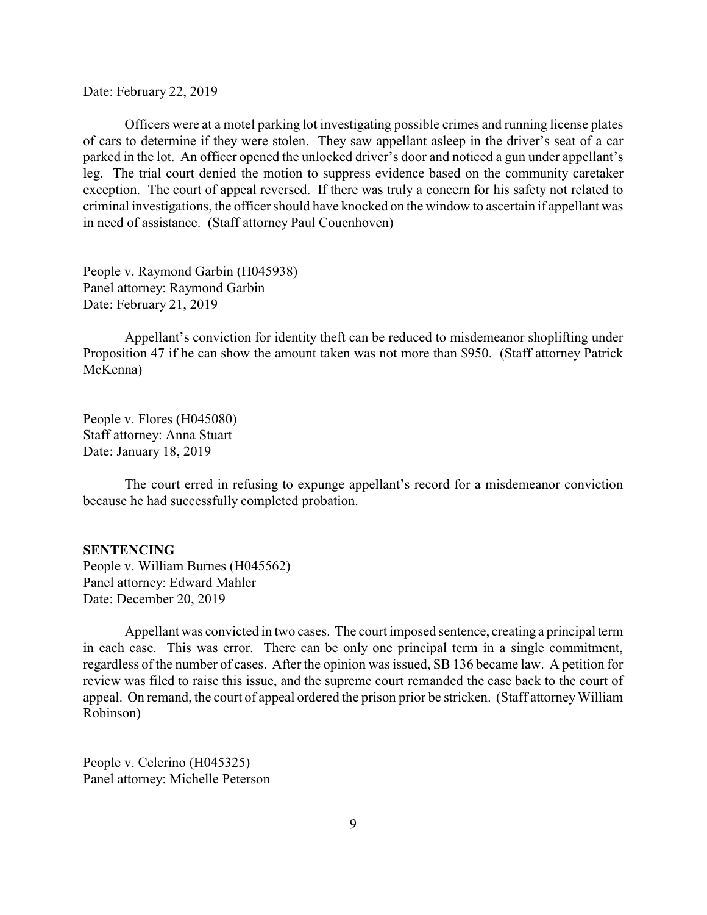<span id="page-8-0"></span>Date: February 22, 2019

Officers were at a motel parking lot investigating possible crimes and running license plates of cars to determine if they were stolen. They saw appellant asleep in the driver's seat of a car parked in the lot. An officer opened the unlocked driver's door and noticed a gun under appellant's leg. The trial court denied the motion to suppress evidence based on the community caretaker exception. The court of appeal reversed. If there was truly a concern for his safety not related to criminal investigations, the officer should have knocked on the window to ascertain if appellant was in need of assistance. (Staff attorney Paul Couenhoven)

People v. Raymond Garbin (H045938) Panel attorney: Raymond Garbin Date: February 21, 2019

Appellant's conviction for identity theft can be reduced to misdemeanor shoplifting under Proposition 47 if he can show the amount taken was not more than \$950. (Staff attorney Patrick McKenna)

People v. Flores (H045080) Staff attorney: Anna Stuart Date: January 18, 2019

The court erred in refusing to expunge appellant's record for a misdemeanor conviction because he had successfully completed probation.

#### **SENTENCING**

People v. William Burnes (H045562) Panel attorney: Edward Mahler Date: December 20, 2019

Appellant was convicted in two cases. The court imposed sentence, creating a principal term in each case. This was error. There can be only one principal term in a single commitment, regardless of the number of cases. After the opinion was issued, SB 136 became law. A petition for review was filed to raise this issue, and the supreme court remanded the case back to the court of appeal. On remand, the court of appeal ordered the prison prior be stricken. (Staff attorneyWilliam Robinson)

People v. Celerino (H045325) Panel attorney: Michelle Peterson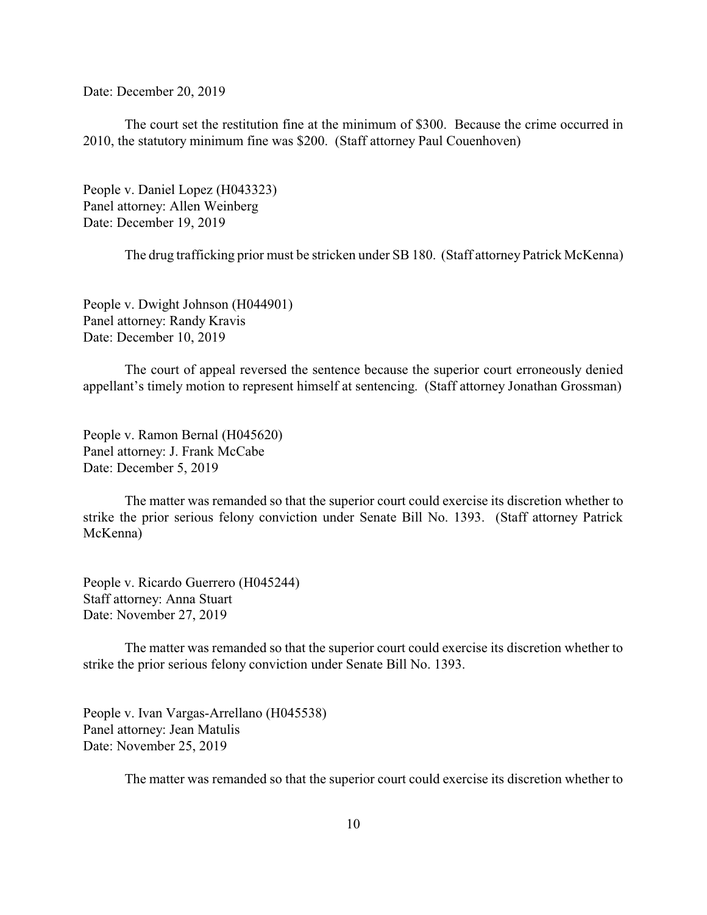Date: December 20, 2019

The court set the restitution fine at the minimum of \$300. Because the crime occurred in 2010, the statutory minimum fine was \$200. (Staff attorney Paul Couenhoven)

People v. Daniel Lopez (H043323) Panel attorney: Allen Weinberg Date: December 19, 2019

The drug trafficking prior must be stricken under SB 180. (Staff attorney Patrick McKenna)

People v. Dwight Johnson (H044901) Panel attorney: Randy Kravis Date: December 10, 2019

The court of appeal reversed the sentence because the superior court erroneously denied appellant's timely motion to represent himself at sentencing. (Staff attorney Jonathan Grossman)

People v. Ramon Bernal (H045620) Panel attorney: J. Frank McCabe Date: December 5, 2019

The matter was remanded so that the superior court could exercise its discretion whether to strike the prior serious felony conviction under Senate Bill No. 1393. (Staff attorney Patrick McKenna)

People v. Ricardo Guerrero (H045244) Staff attorney: Anna Stuart Date: November 27, 2019

The matter was remanded so that the superior court could exercise its discretion whether to strike the prior serious felony conviction under Senate Bill No. 1393.

People v. Ivan Vargas-Arrellano (H045538) Panel attorney: Jean Matulis Date: November 25, 2019

The matter was remanded so that the superior court could exercise its discretion whether to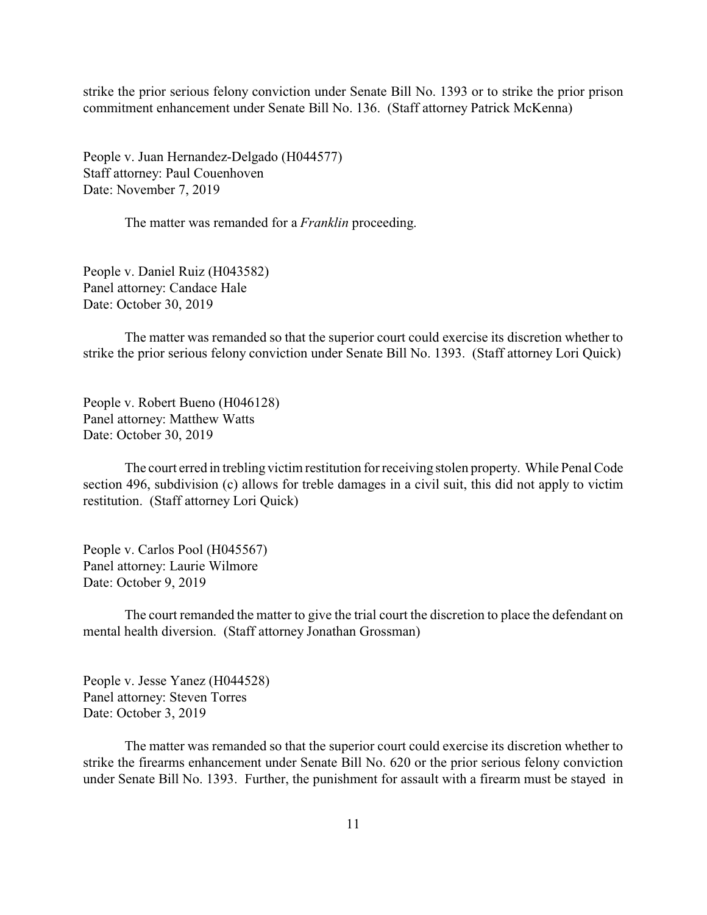strike the prior serious felony conviction under Senate Bill No. 1393 or to strike the prior prison commitment enhancement under Senate Bill No. 136. (Staff attorney Patrick McKenna)

People v. Juan Hernandez-Delgado (H044577) Staff attorney: Paul Couenhoven Date: November 7, 2019

The matter was remanded for a *Franklin* proceeding.

People v. Daniel Ruiz (H043582) Panel attorney: Candace Hale Date: October 30, 2019

The matter was remanded so that the superior court could exercise its discretion whether to strike the prior serious felony conviction under Senate Bill No. 1393. (Staff attorney Lori Quick)

People v. Robert Bueno (H046128) Panel attorney: Matthew Watts Date: October 30, 2019

The court erred in trebling victim restitution for receiving stolen property. While Penal Code section 496, subdivision (c) allows for treble damages in a civil suit, this did not apply to victim restitution. (Staff attorney Lori Quick)

People v. Carlos Pool (H045567) Panel attorney: Laurie Wilmore Date: October 9, 2019

The court remanded the matter to give the trial court the discretion to place the defendant on mental health diversion. (Staff attorney Jonathan Grossman)

People v. Jesse Yanez (H044528) Panel attorney: Steven Torres Date: October 3, 2019

The matter was remanded so that the superior court could exercise its discretion whether to strike the firearms enhancement under Senate Bill No. 620 or the prior serious felony conviction under Senate Bill No. 1393. Further, the punishment for assault with a firearm must be stayed in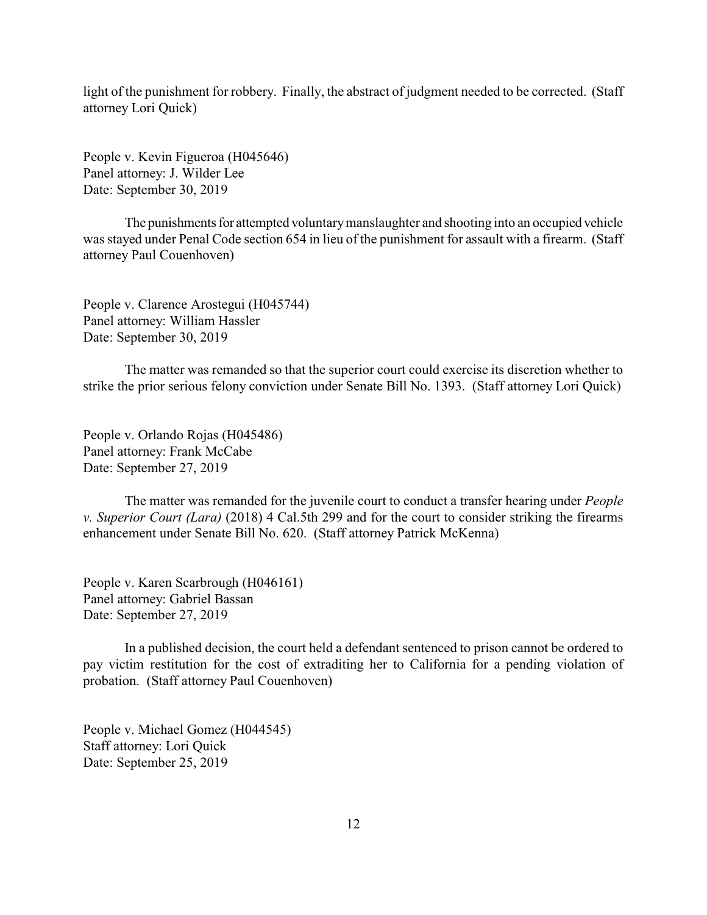light of the punishment for robbery. Finally, the abstract of judgment needed to be corrected. (Staff attorney Lori Quick)

People v. Kevin Figueroa (H045646) Panel attorney: J. Wilder Lee Date: September 30, 2019

The punishments for attempted voluntary manslaughter and shooting into an occupied vehicle was stayed under Penal Code section 654 in lieu of the punishment for assault with a firearm. (Staff attorney Paul Couenhoven)

People v. Clarence Arostegui (H045744) Panel attorney: William Hassler Date: September 30, 2019

The matter was remanded so that the superior court could exercise its discretion whether to strike the prior serious felony conviction under Senate Bill No. 1393. (Staff attorney Lori Quick)

People v. Orlando Rojas (H045486) Panel attorney: Frank McCabe Date: September 27, 2019

The matter was remanded for the juvenile court to conduct a transfer hearing under *People v. Superior Court (Lara)* (2018) 4 Cal.5th 299 and for the court to consider striking the firearms enhancement under Senate Bill No. 620. (Staff attorney Patrick McKenna)

People v. Karen Scarbrough (H046161) Panel attorney: Gabriel Bassan Date: September 27, 2019

In a published decision, the court held a defendant sentenced to prison cannot be ordered to pay victim restitution for the cost of extraditing her to California for a pending violation of probation. (Staff attorney Paul Couenhoven)

People v. Michael Gomez (H044545) Staff attorney: Lori Quick Date: September 25, 2019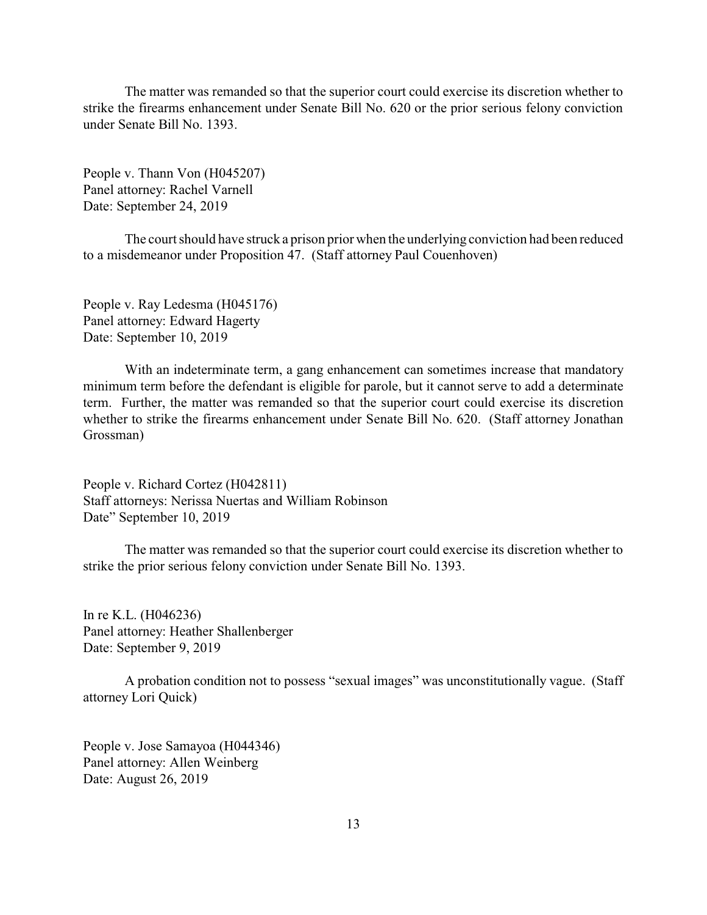The matter was remanded so that the superior court could exercise its discretion whether to strike the firearms enhancement under Senate Bill No. 620 or the prior serious felony conviction under Senate Bill No. 1393.

People v. Thann Von (H045207) Panel attorney: Rachel Varnell Date: September 24, 2019

The court should have struck a prison prior when the underlying conviction had been reduced to a misdemeanor under Proposition 47. (Staff attorney Paul Couenhoven)

People v. Ray Ledesma (H045176) Panel attorney: Edward Hagerty Date: September 10, 2019

With an indeterminate term, a gang enhancement can sometimes increase that mandatory minimum term before the defendant is eligible for parole, but it cannot serve to add a determinate term. Further, the matter was remanded so that the superior court could exercise its discretion whether to strike the firearms enhancement under Senate Bill No. 620. (Staff attorney Jonathan Grossman)

People v. Richard Cortez (H042811) Staff attorneys: Nerissa Nuertas and William Robinson Date" September 10, 2019

The matter was remanded so that the superior court could exercise its discretion whether to strike the prior serious felony conviction under Senate Bill No. 1393.

In re K.L. (H046236) Panel attorney: Heather Shallenberger Date: September 9, 2019

A probation condition not to possess "sexual images" was unconstitutionally vague. (Staff attorney Lori Quick)

People v. Jose Samayoa (H044346) Panel attorney: Allen Weinberg Date: August 26, 2019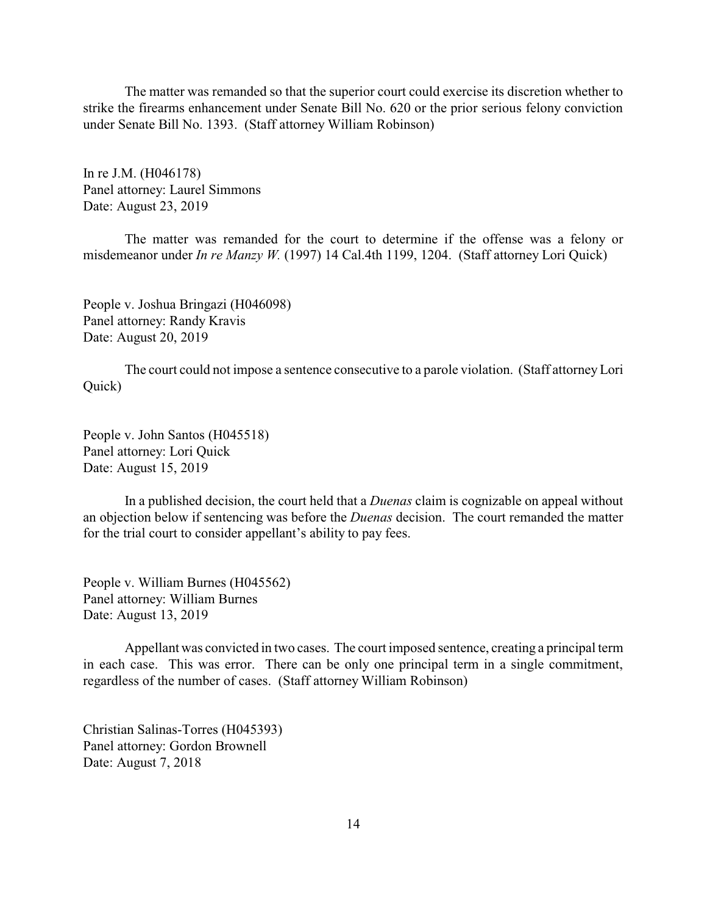The matter was remanded so that the superior court could exercise its discretion whether to strike the firearms enhancement under Senate Bill No. 620 or the prior serious felony conviction under Senate Bill No. 1393. (Staff attorney William Robinson)

In re J.M. (H046178) Panel attorney: Laurel Simmons Date: August 23, 2019

The matter was remanded for the court to determine if the offense was a felony or misdemeanor under *In re Manzy W.* (1997) 14 Cal.4th 1199, 1204. (Staff attorney Lori Quick)

People v. Joshua Bringazi (H046098) Panel attorney: Randy Kravis Date: August 20, 2019

The court could not impose a sentence consecutive to a parole violation. (Staff attorneyLori Quick)

People v. John Santos (H045518) Panel attorney: Lori Quick Date: August 15, 2019

In a published decision, the court held that a *Duenas* claim is cognizable on appeal without an objection below if sentencing was before the *Duenas* decision. The court remanded the matter for the trial court to consider appellant's ability to pay fees.

People v. William Burnes (H045562) Panel attorney: William Burnes Date: August 13, 2019

Appellant was convicted in two cases. The court imposed sentence, creating a principal term in each case. This was error. There can be only one principal term in a single commitment, regardless of the number of cases. (Staff attorney William Robinson)

Christian Salinas-Torres (H045393) Panel attorney: Gordon Brownell Date: August 7, 2018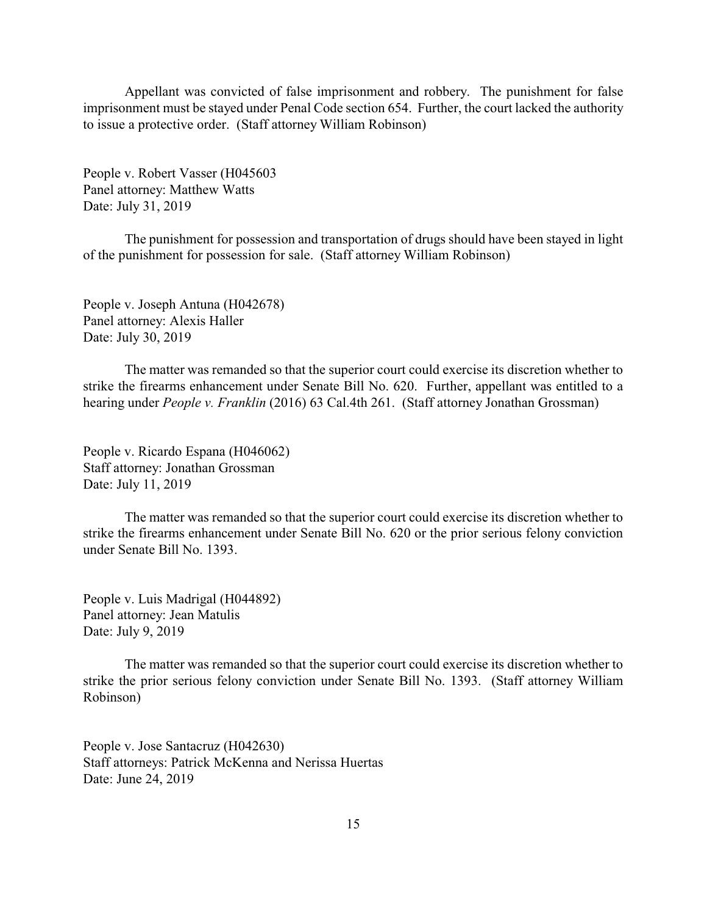Appellant was convicted of false imprisonment and robbery. The punishment for false imprisonment must be stayed under Penal Code section 654. Further, the court lacked the authority to issue a protective order. (Staff attorney William Robinson)

People v. Robert Vasser (H045603 Panel attorney: Matthew Watts Date: July 31, 2019

The punishment for possession and transportation of drugs should have been stayed in light of the punishment for possession for sale. (Staff attorney William Robinson)

People v. Joseph Antuna (H042678) Panel attorney: Alexis Haller Date: July 30, 2019

The matter was remanded so that the superior court could exercise its discretion whether to strike the firearms enhancement under Senate Bill No. 620. Further, appellant was entitled to a hearing under *People v. Franklin* (2016) 63 Cal.4th 261. (Staff attorney Jonathan Grossman)

People v. Ricardo Espana (H046062) Staff attorney: Jonathan Grossman Date: July 11, 2019

The matter was remanded so that the superior court could exercise its discretion whether to strike the firearms enhancement under Senate Bill No. 620 or the prior serious felony conviction under Senate Bill No. 1393.

People v. Luis Madrigal (H044892) Panel attorney: Jean Matulis Date: July 9, 2019

The matter was remanded so that the superior court could exercise its discretion whether to strike the prior serious felony conviction under Senate Bill No. 1393. (Staff attorney William Robinson)

People v. Jose Santacruz (H042630) Staff attorneys: Patrick McKenna and Nerissa Huertas Date: June 24, 2019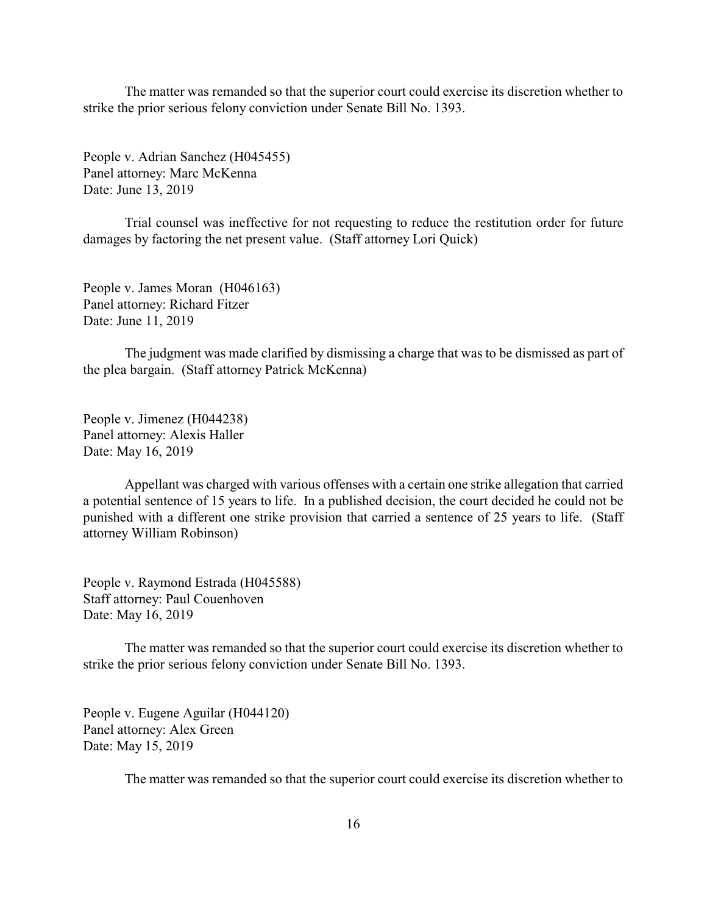The matter was remanded so that the superior court could exercise its discretion whether to strike the prior serious felony conviction under Senate Bill No. 1393.

People v. Adrian Sanchez (H045455) Panel attorney: Marc McKenna Date: June 13, 2019

Trial counsel was ineffective for not requesting to reduce the restitution order for future damages by factoring the net present value. (Staff attorney Lori Quick)

People v. James Moran (H046163) Panel attorney: Richard Fitzer Date: June 11, 2019

The judgment was made clarified by dismissing a charge that was to be dismissed as part of the plea bargain. (Staff attorney Patrick McKenna)

People v. Jimenez (H044238) Panel attorney: Alexis Haller Date: May 16, 2019

Appellant was charged with various offenses with a certain one strike allegation that carried a potential sentence of 15 years to life. In a published decision, the court decided he could not be punished with a different one strike provision that carried a sentence of 25 years to life. (Staff attorney William Robinson)

People v. Raymond Estrada (H045588) Staff attorney: Paul Couenhoven Date: May 16, 2019

The matter was remanded so that the superior court could exercise its discretion whether to strike the prior serious felony conviction under Senate Bill No. 1393.

People v. Eugene Aguilar (H044120) Panel attorney: Alex Green Date: May 15, 2019

The matter was remanded so that the superior court could exercise its discretion whether to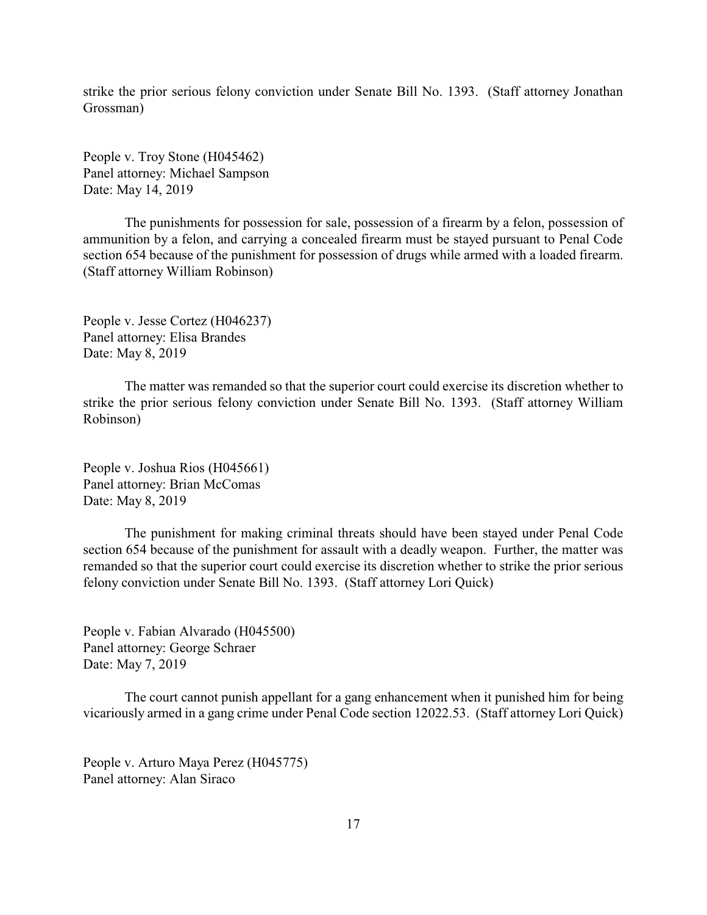strike the prior serious felony conviction under Senate Bill No. 1393. (Staff attorney Jonathan Grossman)

People v. Troy Stone (H045462) Panel attorney: Michael Sampson Date: May 14, 2019

The punishments for possession for sale, possession of a firearm by a felon, possession of ammunition by a felon, and carrying a concealed firearm must be stayed pursuant to Penal Code section 654 because of the punishment for possession of drugs while armed with a loaded firearm. (Staff attorney William Robinson)

People v. Jesse Cortez (H046237) Panel attorney: Elisa Brandes Date: May 8, 2019

The matter was remanded so that the superior court could exercise its discretion whether to strike the prior serious felony conviction under Senate Bill No. 1393. (Staff attorney William Robinson)

People v. Joshua Rios (H045661) Panel attorney: Brian McComas Date: May 8, 2019

The punishment for making criminal threats should have been stayed under Penal Code section 654 because of the punishment for assault with a deadly weapon. Further, the matter was remanded so that the superior court could exercise its discretion whether to strike the prior serious felony conviction under Senate Bill No. 1393. (Staff attorney Lori Quick)

People v. Fabian Alvarado (H045500) Panel attorney: George Schraer Date: May 7, 2019

The court cannot punish appellant for a gang enhancement when it punished him for being vicariously armed in a gang crime under Penal Code section 12022.53. (Staff attorney Lori Quick)

People v. Arturo Maya Perez (H045775) Panel attorney: Alan Siraco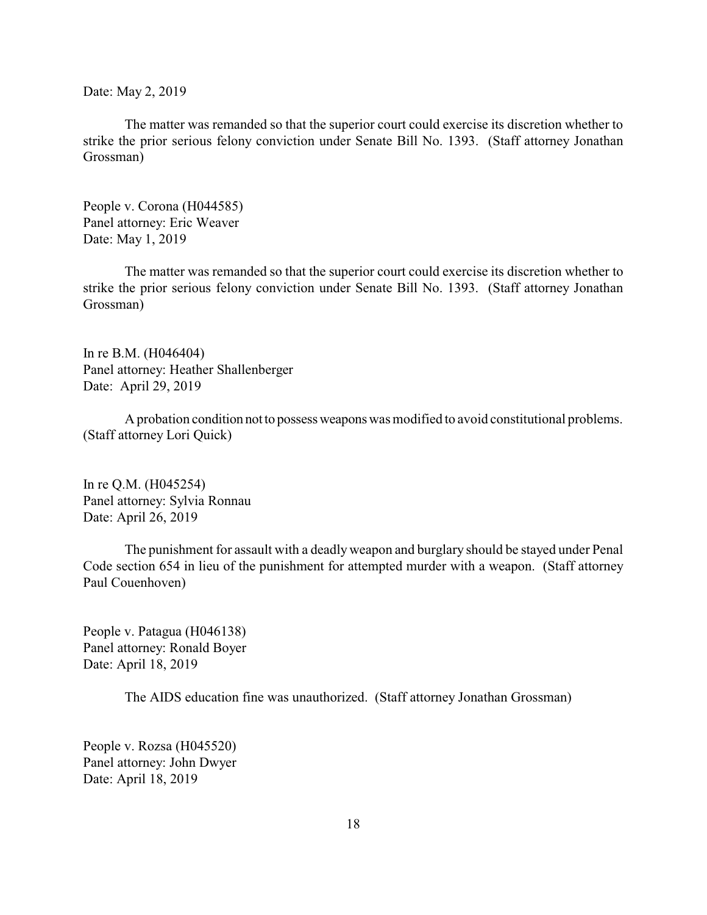Date: May 2, 2019

The matter was remanded so that the superior court could exercise its discretion whether to strike the prior serious felony conviction under Senate Bill No. 1393. (Staff attorney Jonathan Grossman)

People v. Corona (H044585) Panel attorney: Eric Weaver Date: May 1, 2019

The matter was remanded so that the superior court could exercise its discretion whether to strike the prior serious felony conviction under Senate Bill No. 1393. (Staff attorney Jonathan Grossman)

In re B.M. (H046404) Panel attorney: Heather Shallenberger Date: April 29, 2019

A probation condition not to possess weapons was modified to avoid constitutional problems. (Staff attorney Lori Quick)

In re Q.M. (H045254) Panel attorney: Sylvia Ronnau Date: April 26, 2019

The punishment for assault with a deadly weapon and burglary should be stayed under Penal Code section 654 in lieu of the punishment for attempted murder with a weapon. (Staff attorney Paul Couenhoven)

People v. Patagua (H046138) Panel attorney: Ronald Boyer Date: April 18, 2019

The AIDS education fine was unauthorized. (Staff attorney Jonathan Grossman)

People v. Rozsa (H045520) Panel attorney: John Dwyer Date: April 18, 2019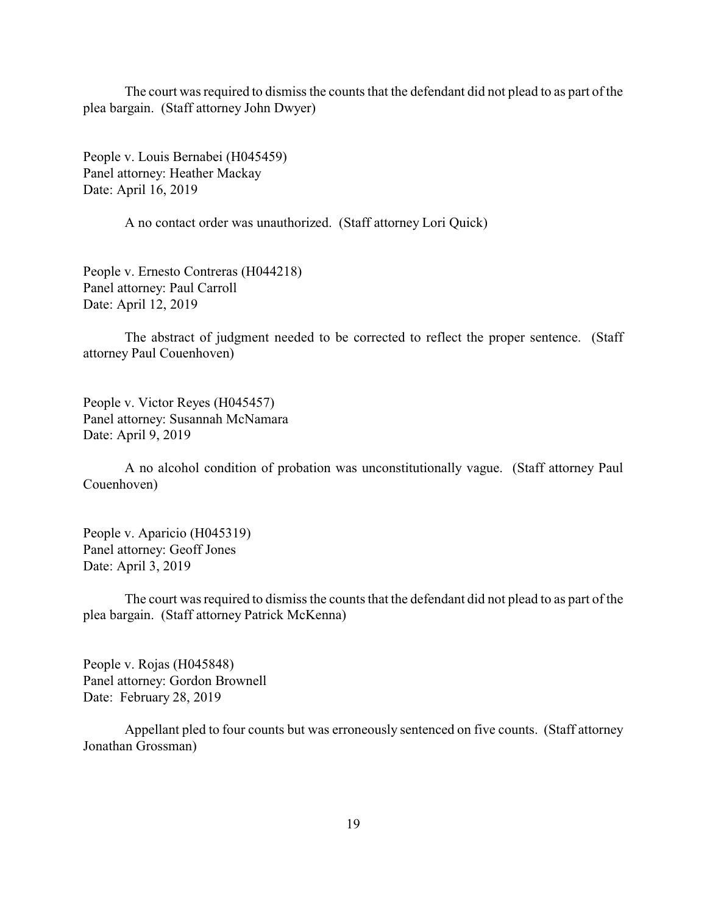The court was required to dismiss the counts that the defendant did not plead to as part of the plea bargain. (Staff attorney John Dwyer)

People v. Louis Bernabei (H045459) Panel attorney: Heather Mackay Date: April 16, 2019

A no contact order was unauthorized. (Staff attorney Lori Quick)

People v. Ernesto Contreras (H044218) Panel attorney: Paul Carroll Date: April 12, 2019

The abstract of judgment needed to be corrected to reflect the proper sentence. (Staff attorney Paul Couenhoven)

People v. Victor Reyes (H045457) Panel attorney: Susannah McNamara Date: April 9, 2019

A no alcohol condition of probation was unconstitutionally vague. (Staff attorney Paul Couenhoven)

People v. Aparicio (H045319) Panel attorney: Geoff Jones Date: April 3, 2019

The court was required to dismiss the counts that the defendant did not plead to as part of the plea bargain. (Staff attorney Patrick McKenna)

People v. Rojas (H045848) Panel attorney: Gordon Brownell Date: February 28, 2019

Appellant pled to four counts but was erroneously sentenced on five counts. (Staff attorney Jonathan Grossman)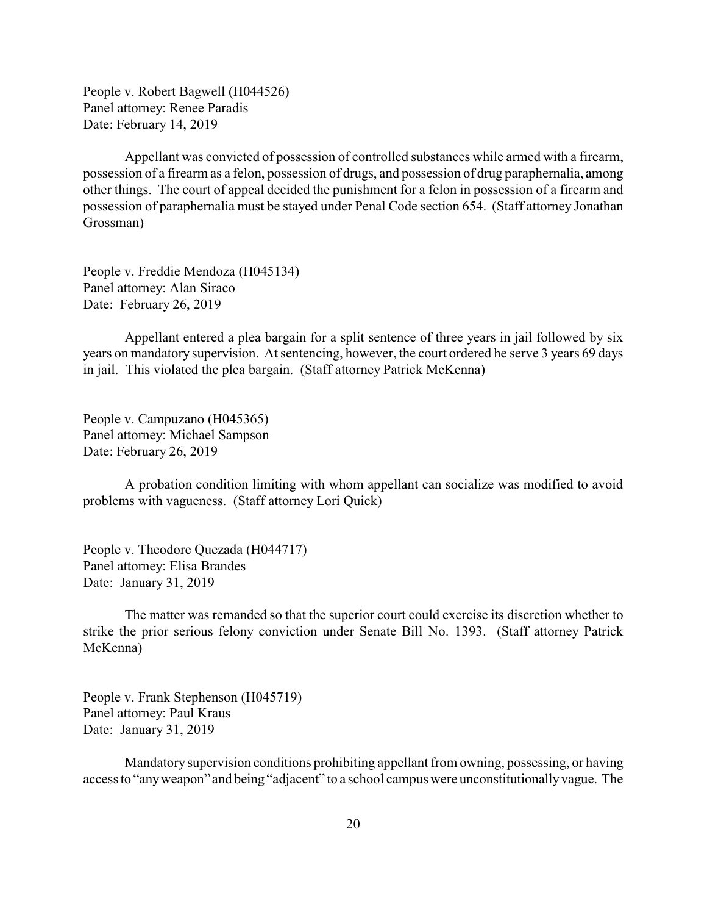People v. Robert Bagwell (H044526) Panel attorney: Renee Paradis Date: February 14, 2019

Appellant was convicted of possession of controlled substances while armed with a firearm, possession of a firearm as a felon, possession of drugs, and possession of drug paraphernalia, among other things. The court of appeal decided the punishment for a felon in possession of a firearm and possession of paraphernalia must be stayed under Penal Code section 654. (Staff attorney Jonathan Grossman)

People v. Freddie Mendoza (H045134) Panel attorney: Alan Siraco Date: February 26, 2019

Appellant entered a plea bargain for a split sentence of three years in jail followed by six years on mandatory supervision. At sentencing, however, the court ordered he serve 3 years 69 days in jail. This violated the plea bargain. (Staff attorney Patrick McKenna)

People v. Campuzano (H045365) Panel attorney: Michael Sampson Date: February 26, 2019

A probation condition limiting with whom appellant can socialize was modified to avoid problems with vagueness. (Staff attorney Lori Quick)

People v. Theodore Quezada (H044717) Panel attorney: Elisa Brandes Date: January 31, 2019

The matter was remanded so that the superior court could exercise its discretion whether to strike the prior serious felony conviction under Senate Bill No. 1393. (Staff attorney Patrick McKenna)

People v. Frank Stephenson (H045719) Panel attorney: Paul Kraus Date: January 31, 2019

Mandatory supervision conditions prohibiting appellant from owning, possessing, or having access to "anyweapon" and being "adjacent" to a school campus were unconstitutionallyvague. The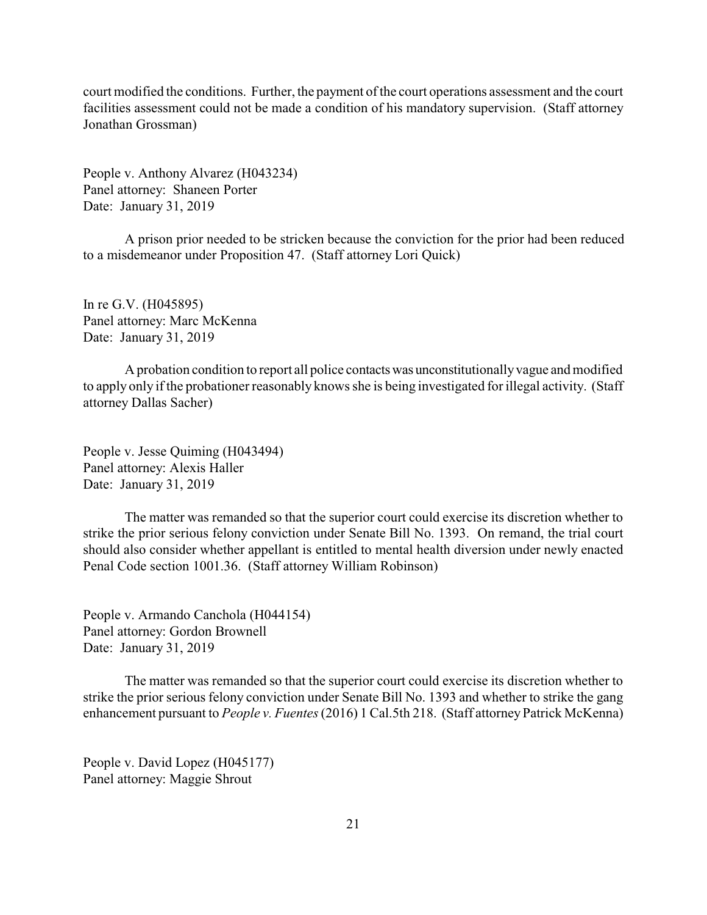court modified the conditions. Further, the payment of the court operations assessment and the court facilities assessment could not be made a condition of his mandatory supervision. (Staff attorney Jonathan Grossman)

People v. Anthony Alvarez (H043234) Panel attorney: Shaneen Porter Date: January 31, 2019

A prison prior needed to be stricken because the conviction for the prior had been reduced to a misdemeanor under Proposition 47. (Staff attorney Lori Quick)

In re G.V. (H045895) Panel attorney: Marc McKenna Date: January 31, 2019

A probation condition to report all police contactswas unconstitutionally vague and modified to apply only if the probationer reasonably knows she is being investigated for illegal activity. (Staff attorney Dallas Sacher)

People v. Jesse Quiming (H043494) Panel attorney: Alexis Haller Date: January 31, 2019

The matter was remanded so that the superior court could exercise its discretion whether to strike the prior serious felony conviction under Senate Bill No. 1393. On remand, the trial court should also consider whether appellant is entitled to mental health diversion under newly enacted Penal Code section 1001.36. (Staff attorney William Robinson)

People v. Armando Canchola (H044154) Panel attorney: Gordon Brownell Date: January 31, 2019

The matter was remanded so that the superior court could exercise its discretion whether to strike the prior serious felony conviction under Senate Bill No. 1393 and whether to strike the gang enhancement pursuant to *People v. Fuentes* (2016) 1 Cal.5th 218. (Staff attorney Patrick McKenna)

People v. David Lopez (H045177) Panel attorney: Maggie Shrout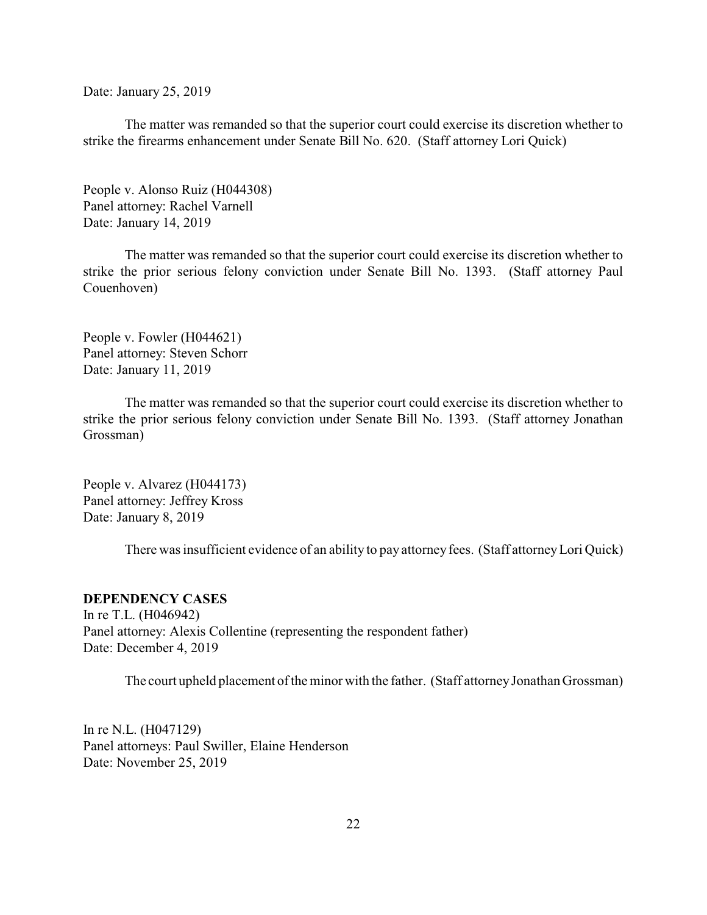<span id="page-21-0"></span>Date: January 25, 2019

The matter was remanded so that the superior court could exercise its discretion whether to strike the firearms enhancement under Senate Bill No. 620. (Staff attorney Lori Quick)

People v. Alonso Ruiz (H044308) Panel attorney: Rachel Varnell Date: January 14, 2019

The matter was remanded so that the superior court could exercise its discretion whether to strike the prior serious felony conviction under Senate Bill No. 1393. (Staff attorney Paul Couenhoven)

People v. Fowler (H044621) Panel attorney: Steven Schorr Date: January 11, 2019

The matter was remanded so that the superior court could exercise its discretion whether to strike the prior serious felony conviction under Senate Bill No. 1393. (Staff attorney Jonathan Grossman)

People v. Alvarez (H044173) Panel attorney: Jeffrey Kross Date: January 8, 2019

There was insufficient evidence of an ability to pay attorney fees. (Staff attorney Lori Quick)

## **DEPENDENCY CASES**

In re T.L. (H046942) Panel attorney: Alexis Collentine (representing the respondent father) Date: December 4, 2019

The court upheld placement of the minor with the father. (Staff attorneyJonathan Grossman)

In re N.L. (H047129) Panel attorneys: Paul Swiller, Elaine Henderson Date: November 25, 2019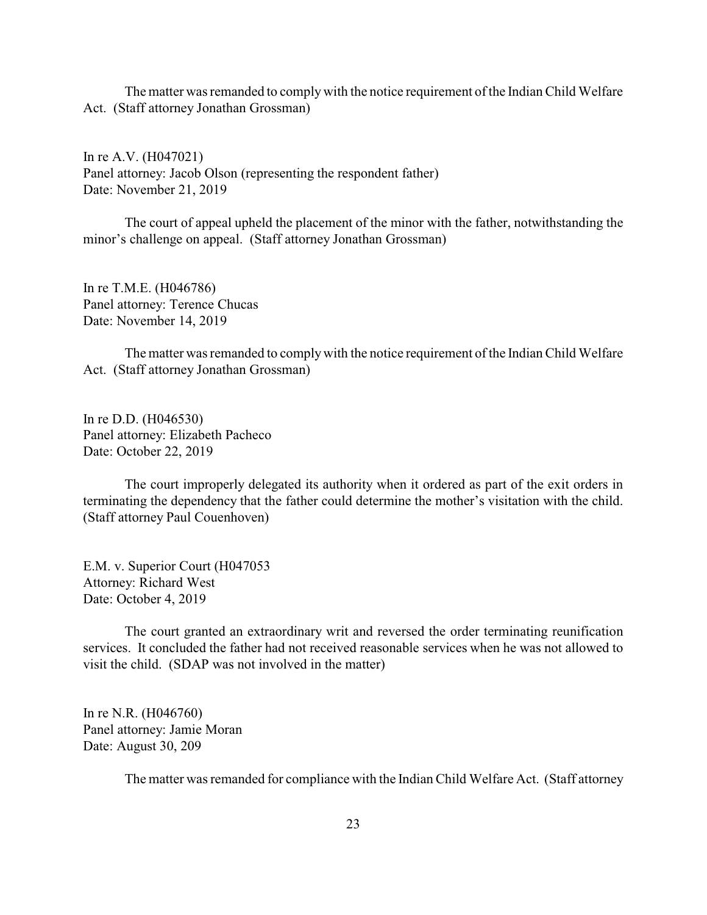The matter was remanded to comply with the notice requirement of the Indian Child Welfare Act. (Staff attorney Jonathan Grossman)

In re A.V. (H047021) Panel attorney: Jacob Olson (representing the respondent father) Date: November 21, 2019

The court of appeal upheld the placement of the minor with the father, notwithstanding the minor's challenge on appeal. (Staff attorney Jonathan Grossman)

In re T.M.E. (H046786) Panel attorney: Terence Chucas Date: November 14, 2019

The matter was remanded to complywith the notice requirement of the Indian Child Welfare Act. (Staff attorney Jonathan Grossman)

In re D.D. (H046530) Panel attorney: Elizabeth Pacheco Date: October 22, 2019

The court improperly delegated its authority when it ordered as part of the exit orders in terminating the dependency that the father could determine the mother's visitation with the child. (Staff attorney Paul Couenhoven)

E.M. v. Superior Court (H047053 Attorney: Richard West Date: October 4, 2019

The court granted an extraordinary writ and reversed the order terminating reunification services. It concluded the father had not received reasonable services when he was not allowed to visit the child. (SDAP was not involved in the matter)

In re N.R. (H046760) Panel attorney: Jamie Moran Date: August 30, 209

The matter was remanded for compliance with the Indian Child Welfare Act. (Staff attorney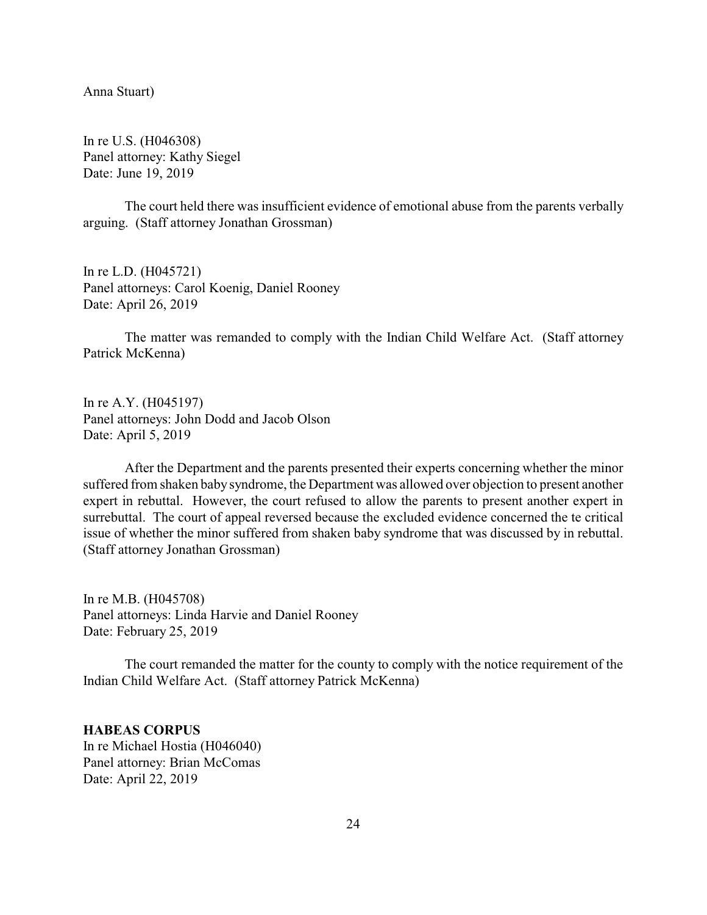<span id="page-23-0"></span>Anna Stuart)

In re U.S. (H046308) Panel attorney: Kathy Siegel Date: June 19, 2019

The court held there was insufficient evidence of emotional abuse from the parents verbally arguing. (Staff attorney Jonathan Grossman)

In re L.D. (H045721) Panel attorneys: Carol Koenig, Daniel Rooney Date: April 26, 2019

The matter was remanded to comply with the Indian Child Welfare Act. (Staff attorney Patrick McKenna)

In re A.Y. (H045197) Panel attorneys: John Dodd and Jacob Olson Date: April 5, 2019

After the Department and the parents presented their experts concerning whether the minor suffered from shaken baby syndrome, the Department was allowed over objection to present another expert in rebuttal. However, the court refused to allow the parents to present another expert in surrebuttal. The court of appeal reversed because the excluded evidence concerned the te critical issue of whether the minor suffered from shaken baby syndrome that was discussed by in rebuttal. (Staff attorney Jonathan Grossman)

In re M.B. (H045708) Panel attorneys: Linda Harvie and Daniel Rooney Date: February 25, 2019

The court remanded the matter for the county to comply with the notice requirement of the Indian Child Welfare Act. (Staff attorney Patrick McKenna)

**HABEAS CORPUS** In re Michael Hostia (H046040) Panel attorney: Brian McComas Date: April 22, 2019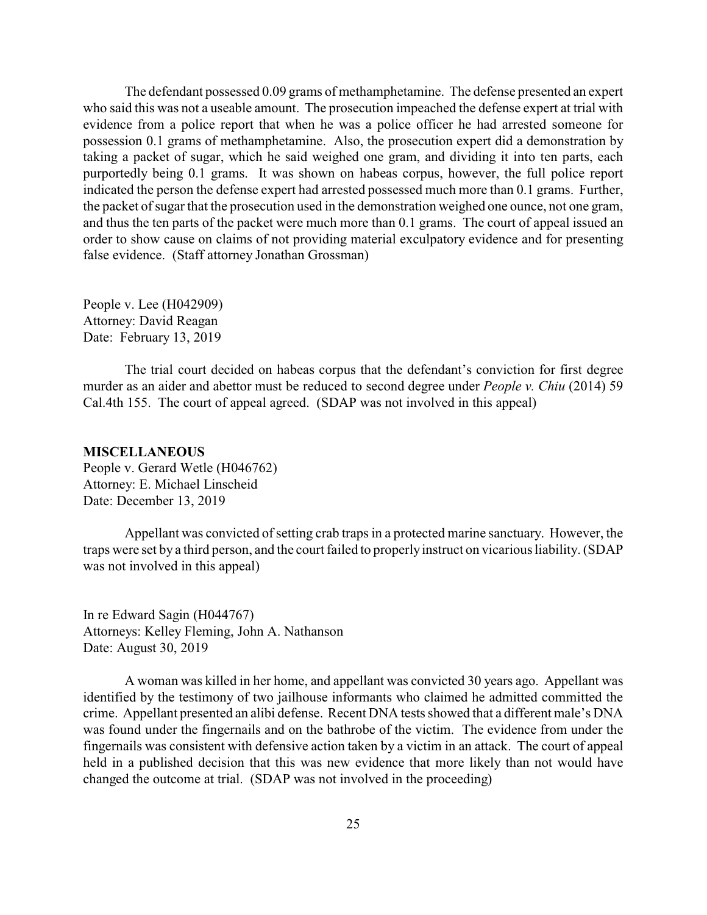<span id="page-24-0"></span>The defendant possessed 0.09 grams of methamphetamine. The defense presented an expert who said this was not a useable amount. The prosecution impeached the defense expert at trial with evidence from a police report that when he was a police officer he had arrested someone for possession 0.1 grams of methamphetamine. Also, the prosecution expert did a demonstration by taking a packet of sugar, which he said weighed one gram, and dividing it into ten parts, each purportedly being 0.1 grams. It was shown on habeas corpus, however, the full police report indicated the person the defense expert had arrested possessed much more than 0.1 grams. Further, the packet of sugar that the prosecution used in the demonstration weighed one ounce, not one gram, and thus the ten parts of the packet were much more than 0.1 grams. The court of appeal issued an order to show cause on claims of not providing material exculpatory evidence and for presenting false evidence. (Staff attorney Jonathan Grossman)

People v. Lee (H042909) Attorney: David Reagan Date: February 13, 2019

The trial court decided on habeas corpus that the defendant's conviction for first degree murder as an aider and abettor must be reduced to second degree under *People v. Chiu* (2014) 59 Cal.4th 155. The court of appeal agreed. (SDAP was not involved in this appeal)

#### **MISCELLANEOUS**

People v. Gerard Wetle (H046762) Attorney: E. Michael Linscheid Date: December 13, 2019

Appellant was convicted of setting crab traps in a protected marine sanctuary. However, the traps were set by a third person, and the court failed to properlyinstruct on vicarious liability. (SDAP was not involved in this appeal)

In re Edward Sagin (H044767) Attorneys: Kelley Fleming, John A. Nathanson Date: August 30, 2019

A woman was killed in her home, and appellant was convicted 30 years ago. Appellant was identified by the testimony of two jailhouse informants who claimed he admitted committed the crime. Appellant presented an alibi defense. Recent DNA tests showed that a different male's DNA was found under the fingernails and on the bathrobe of the victim. The evidence from under the fingernails was consistent with defensive action taken by a victim in an attack. The court of appeal held in a published decision that this was new evidence that more likely than not would have changed the outcome at trial. (SDAP was not involved in the proceeding)